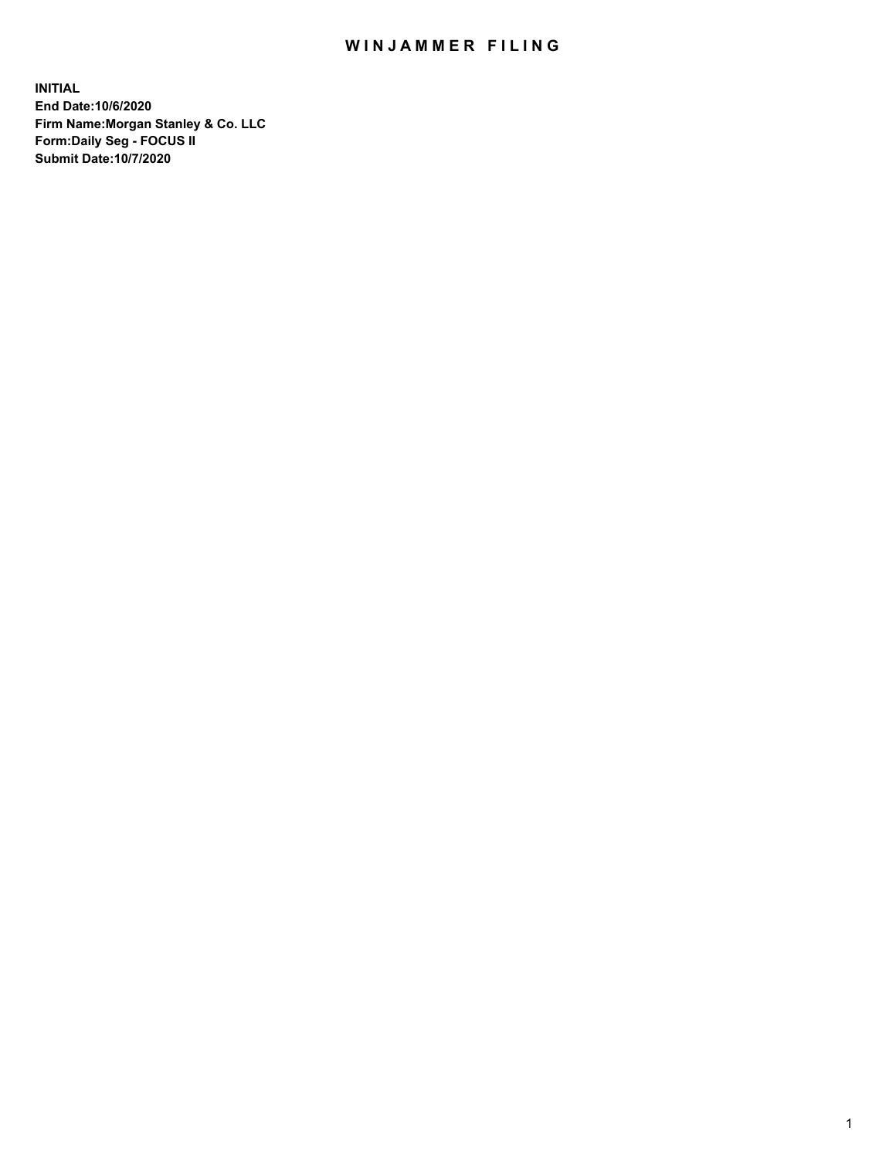## WIN JAMMER FILING

**INITIAL End Date:10/6/2020 Firm Name:Morgan Stanley & Co. LLC Form:Daily Seg - FOCUS II Submit Date:10/7/2020**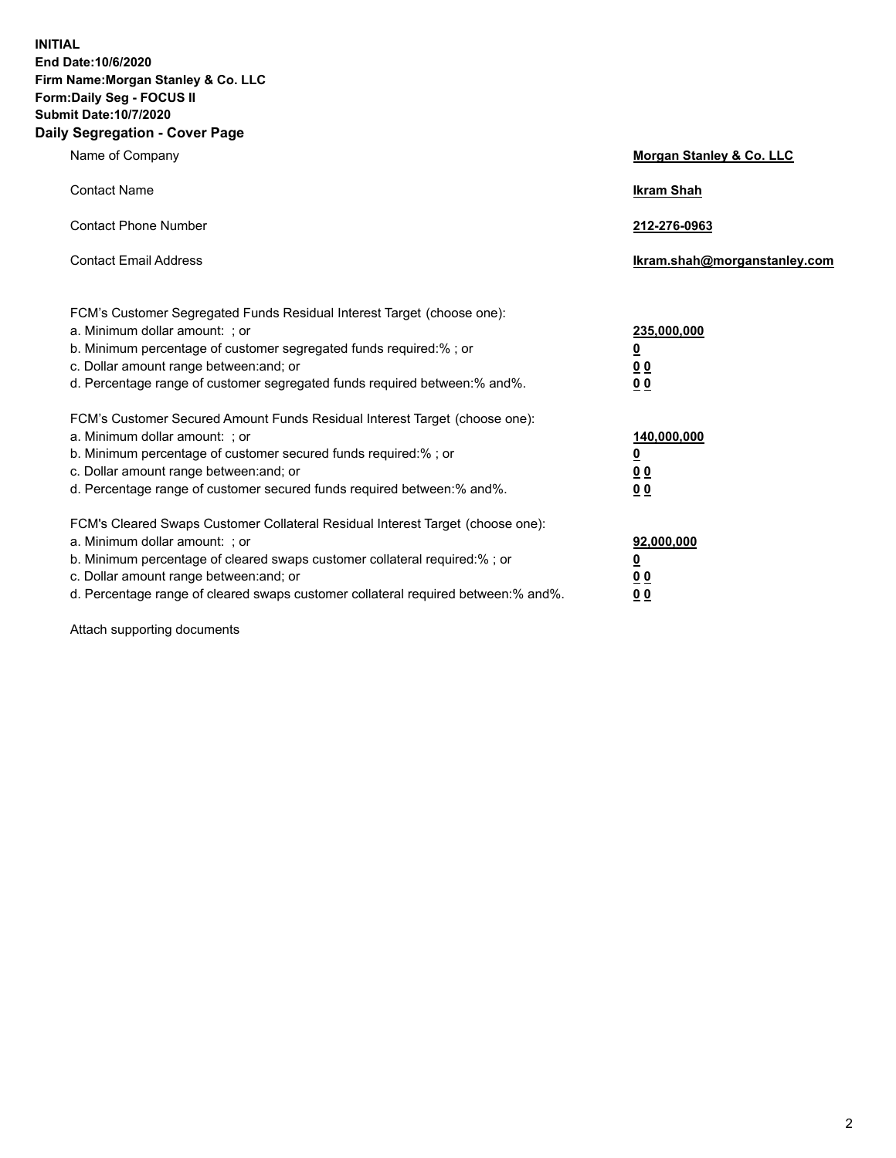**INITIAL End Date:10/6/2020 Firm Name:Morgan Stanley & Co. LLC Form:Daily Seg - FOCUS II Submit Date:10/7/2020 Daily Segregation - Cover Page**

| Name of Company                                                                                                                                                                                                                                                                                                                | Morgan Stanley & Co. LLC                        |
|--------------------------------------------------------------------------------------------------------------------------------------------------------------------------------------------------------------------------------------------------------------------------------------------------------------------------------|-------------------------------------------------|
| <b>Contact Name</b>                                                                                                                                                                                                                                                                                                            | <b>Ikram Shah</b>                               |
| <b>Contact Phone Number</b>                                                                                                                                                                                                                                                                                                    | 212-276-0963                                    |
| <b>Contact Email Address</b>                                                                                                                                                                                                                                                                                                   | Ikram.shah@morganstanley.com                    |
| FCM's Customer Segregated Funds Residual Interest Target (choose one):<br>a. Minimum dollar amount: ; or<br>b. Minimum percentage of customer segregated funds required:% ; or<br>c. Dollar amount range between: and; or<br>d. Percentage range of customer segregated funds required between:% and%.                         | 235,000,000<br><u>0</u><br><u>00</u><br>00      |
| FCM's Customer Secured Amount Funds Residual Interest Target (choose one):<br>a. Minimum dollar amount: ; or<br>b. Minimum percentage of customer secured funds required:% ; or<br>c. Dollar amount range between: and; or<br>d. Percentage range of customer secured funds required between:% and%.                           | 140,000,000<br><u>0</u><br>0 <sub>0</sub><br>00 |
| FCM's Cleared Swaps Customer Collateral Residual Interest Target (choose one):<br>a. Minimum dollar amount: ; or<br>b. Minimum percentage of cleared swaps customer collateral required:% ; or<br>c. Dollar amount range between: and; or<br>d. Percentage range of cleared swaps customer collateral required between:% and%. | 92,000,000<br><u>0</u><br>0 Q<br>0 <sub>0</sub> |

Attach supporting documents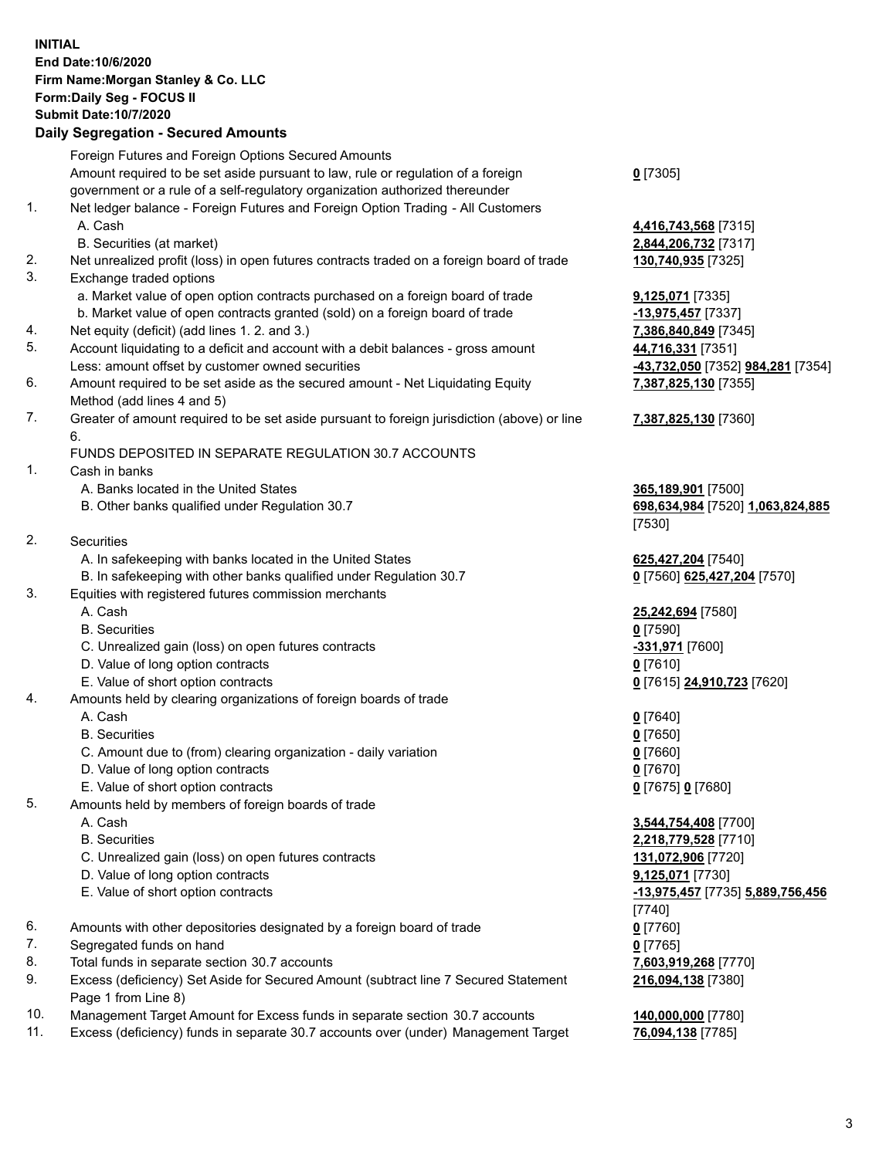## **INITIAL End Date:10/6/2020 Firm Name:Morgan Stanley & Co. LLC Form:Daily Seg - FOCUS II Submit Date:10/7/2020**

## **Daily Segregation - Secured Amounts**

|          | Foreign Futures and Foreign Options Secured Amounts                                                                       |                                                       |
|----------|---------------------------------------------------------------------------------------------------------------------------|-------------------------------------------------------|
|          | Amount required to be set aside pursuant to law, rule or regulation of a foreign                                          | $0$ [7305]                                            |
|          | government or a rule of a self-regulatory organization authorized thereunder                                              |                                                       |
| 1.       | Net ledger balance - Foreign Futures and Foreign Option Trading - All Customers                                           |                                                       |
|          | A. Cash                                                                                                                   | 4,416,743,568 [7315]                                  |
|          | B. Securities (at market)                                                                                                 | 2,844,206,732 [7317]                                  |
| 2.       | Net unrealized profit (loss) in open futures contracts traded on a foreign board of trade                                 | 130,740,935 [7325]                                    |
| 3.       | Exchange traded options                                                                                                   |                                                       |
|          | a. Market value of open option contracts purchased on a foreign board of trade                                            | <b>9,125,071</b> [7335]                               |
|          | b. Market value of open contracts granted (sold) on a foreign board of trade                                              | $-13,975,457$ [7337]                                  |
| 4.       | Net equity (deficit) (add lines 1.2. and 3.)                                                                              | 7,386,840,849 [7345]                                  |
| 5.       | Account liquidating to a deficit and account with a debit balances - gross amount                                         | 44,716,331 [7351]                                     |
|          | Less: amount offset by customer owned securities                                                                          | <mark>-43,732,050</mark> [7352] <b>984,281</b> [7354] |
| 6.       | Amount required to be set aside as the secured amount - Net Liquidating Equity                                            | 7,387,825,130 [7355]                                  |
| 7.       | Method (add lines 4 and 5)<br>Greater of amount required to be set aside pursuant to foreign jurisdiction (above) or line | 7,387,825,130 [7360]                                  |
|          | 6.                                                                                                                        |                                                       |
|          | FUNDS DEPOSITED IN SEPARATE REGULATION 30.7 ACCOUNTS                                                                      |                                                       |
| 1.       | Cash in banks                                                                                                             |                                                       |
|          | A. Banks located in the United States                                                                                     | 365,189,901 [7500]                                    |
|          | B. Other banks qualified under Regulation 30.7                                                                            | 698,634,984 [7520] 1,063,824,885                      |
|          |                                                                                                                           | [7530]                                                |
| 2.       | Securities                                                                                                                |                                                       |
|          | A. In safekeeping with banks located in the United States                                                                 | 625,427,204 [7540]                                    |
|          | B. In safekeeping with other banks qualified under Regulation 30.7                                                        | 0 [7560] 625,427,204 [7570]                           |
| 3.       | Equities with registered futures commission merchants                                                                     |                                                       |
|          | A. Cash                                                                                                                   | 25,242,694 [7580]                                     |
|          | <b>B.</b> Securities                                                                                                      | $0$ [7590]                                            |
|          | C. Unrealized gain (loss) on open futures contracts                                                                       | -331,971 [7600]                                       |
|          | D. Value of long option contracts                                                                                         | $0$ [7610]                                            |
|          | E. Value of short option contracts                                                                                        | 0 [7615] 24,910,723 [7620]                            |
| 4.       | Amounts held by clearing organizations of foreign boards of trade                                                         |                                                       |
|          | A. Cash                                                                                                                   | $0$ [7640]                                            |
|          | <b>B.</b> Securities                                                                                                      | $0$ [7650]                                            |
|          | C. Amount due to (from) clearing organization - daily variation                                                           | $0$ [7660]                                            |
|          | D. Value of long option contracts                                                                                         | $0$ [7670]                                            |
|          | E. Value of short option contracts                                                                                        | 0 [7675] 0 [7680]                                     |
| 5.       | Amounts held by members of foreign boards of trade                                                                        |                                                       |
|          | A. Cash                                                                                                                   | 3,544,754,408 [7700]                                  |
|          | <b>B.</b> Securities                                                                                                      | 2,218,779,528 [7710]                                  |
|          | C. Unrealized gain (loss) on open futures contracts                                                                       | 131,072,906 [7720]                                    |
|          | D. Value of long option contracts                                                                                         | 9,125,071 [7730]                                      |
|          | E. Value of short option contracts                                                                                        | -13,975,457 [7735] 5,889,756,456                      |
|          |                                                                                                                           | [7740]                                                |
| 6.       | Amounts with other depositories designated by a foreign board of trade                                                    | $0$ [7760]                                            |
| 7.       | Segregated funds on hand                                                                                                  | $0$ [7765]                                            |
| 8.<br>9. | Total funds in separate section 30.7 accounts                                                                             | 7,603,919,268 [7770]                                  |
|          | Excess (deficiency) Set Aside for Secured Amount (subtract line 7 Secured Statement<br>Page 1 from Line 8)                | 216,094,138 [7380]                                    |
| 10.      | Management Target Amount for Excess funds in separate section 30.7 accounts                                               | 140,000,000 [7780]                                    |
|          |                                                                                                                           |                                                       |

11. Excess (deficiency) funds in separate 30.7 accounts over (under) Management Target **76,094,138** [7785]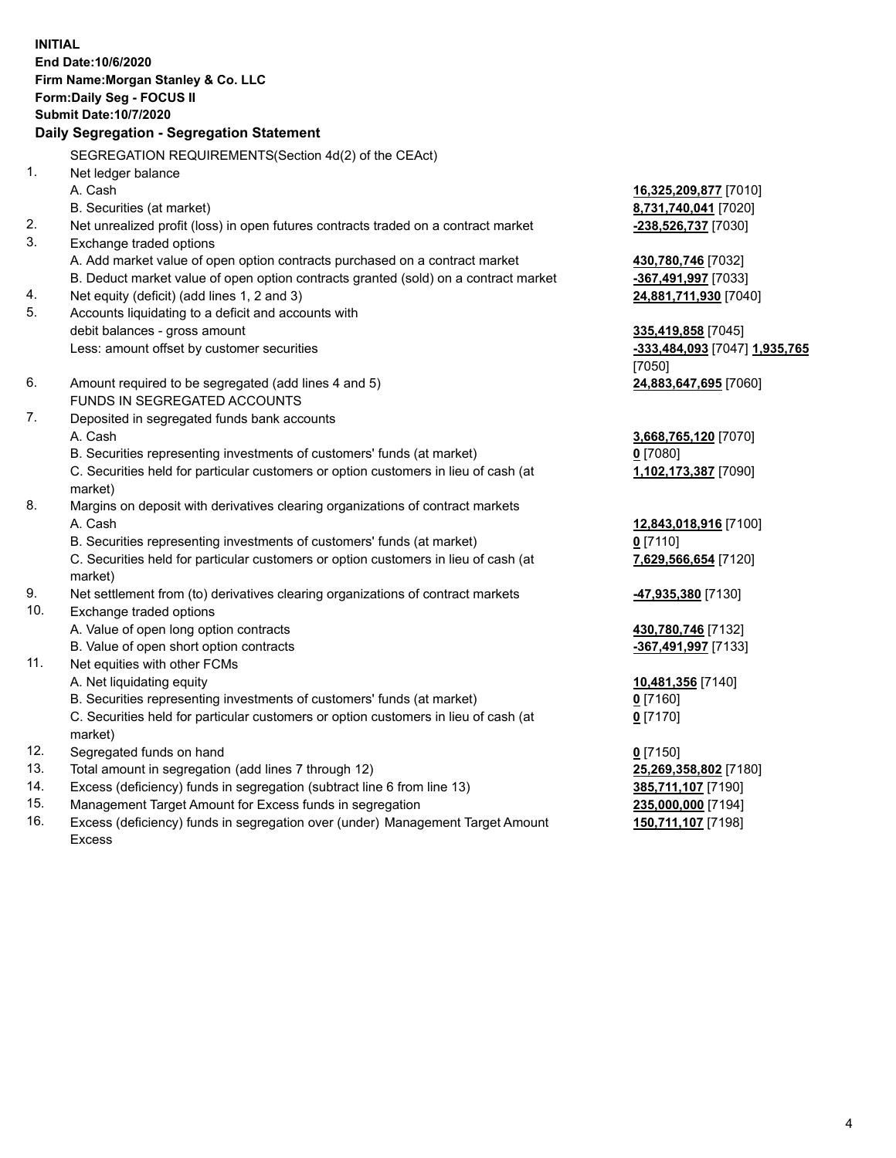**INITIAL End Date:10/6/2020 Firm Name:Morgan Stanley & Co. LLC Form:Daily Seg - FOCUS II Submit Date:10/7/2020 Daily Segregation - Segregation Statement** SEGREGATION REQUIREMENTS(Section 4d(2) of the CEAct) 1. Net ledger balance A. Cash **16,325,209,877** [7010] B. Securities (at market) **8,731,740,041** [7020] 2. Net unrealized profit (loss) in open futures contracts traded on a contract market **-238,526,737** [7030] 3. Exchange traded options A. Add market value of open option contracts purchased on a contract market **430,780,746** [7032] B. Deduct market value of open option contracts granted (sold) on a contract market **-367,491,997** [7033] 4. Net equity (deficit) (add lines 1, 2 and 3) **24,881,711,930** [7040] 5. Accounts liquidating to a deficit and accounts with debit balances - gross amount **335,419,858** [7045] Less: amount offset by customer securities **-333,484,093** [7047] **1,935,765** [7050] 6. Amount required to be segregated (add lines 4 and 5) **24,883,647,695** [7060] FUNDS IN SEGREGATED ACCOUNTS 7. Deposited in segregated funds bank accounts A. Cash **3,668,765,120** [7070] B. Securities representing investments of customers' funds (at market) **0** [7080] C. Securities held for particular customers or option customers in lieu of cash (at market) **1,102,173,387** [7090] 8. Margins on deposit with derivatives clearing organizations of contract markets A. Cash **12,843,018,916** [7100] B. Securities representing investments of customers' funds (at market) **0** [7110] C. Securities held for particular customers or option customers in lieu of cash (at market) **7,629,566,654** [7120] 9. Net settlement from (to) derivatives clearing organizations of contract markets **-47,935,380** [7130] 10. Exchange traded options A. Value of open long option contracts **430,780,746** [7132] B. Value of open short option contracts **and the set of our of the set of our of the set of our of the set of the set of the set of the set of the set of the set of the set of the set of the set of the set of the set of th** 11. Net equities with other FCMs A. Net liquidating equity **10,481,356** [7140] B. Securities representing investments of customers' funds (at market) **0** [7160] C. Securities held for particular customers or option customers in lieu of cash (at market) **0** [7170] 12. Segregated funds on hand **0** [7150] 13. Total amount in segregation (add lines 7 through 12) **25,269,358,802** [7180] 14. Excess (deficiency) funds in segregation (subtract line 6 from line 13) **385,711,107** [7190] 15. Management Target Amount for Excess funds in segregation **235,000,000** [7194]

16. Excess (deficiency) funds in segregation over (under) Management Target Amount Excess

**150,711,107** [7198]